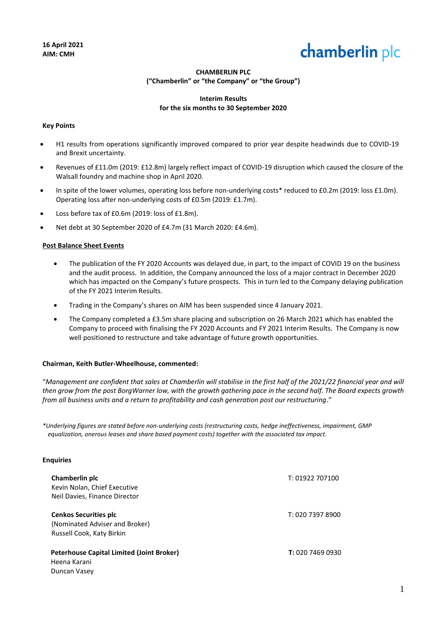# chamberlin plc

# **CHAMBERLIN PLC ("Chamberlin" or "the Company" or "the Group")**

# **Interim Results for the six months to 30 September 2020**

## **Key Points**

- H1 results from operations significantly improved compared to prior year despite headwinds due to COVID-19 and Brexit uncertainty.
- Revenues of £11.0m (2019: £12.8m) largely reflect impact of COVID-19 disruption which caused the closure of the Walsall foundry and machine shop in April 2020.
- In spite of the lower volumes, operating loss before non-underlying costs\* reduced to £0.2m (2019: loss £1.0m). Operating loss after non-underlying costs of £0.5m (2019: £1.7m).
- Loss before tax of £0.6m (2019: loss of £1.8m).
- Net debt at 30 September 2020 of £4.7m (31 March 2020: £4.6m).

## **Post Balance Sheet Events**

- The publication of the FY 2020 Accounts was delayed due, in part, to the impact of COVID 19 on the business and the audit process. In addition, the Company announced the loss of a major contract in December 2020 which has impacted on the Company's future prospects. This in turn led to the Company delaying publication of the FY 2021 Interim Results.
- Trading in the Company's shares on AIM has been suspended since 4 January 2021.
- The Company completed a £3.5m share placing and subscription on 26 March 2021 which has enabled the Company to proceed with finalising the FY 2020 Accounts and FY 2021 Interim Results. The Company is now well positioned to restructure and take advantage of future growth opportunities.

## **Chairman, Keith Butler-Wheelhouse, commented:**

"*Management are confident that sales at Chamberlin will stabilise in the first half of the 2021/22 financial year and will*  then grow from the post BorgWarner low, with the growth gathering pace in the second half. The Board expects growth *from all business units and a return to profitability and cash generation post our restructuring*."

*\*Underlying figures are stated before non-underlying costs (restructuring costs, hedge ineffectiveness, impairment, GMP equalization, onerous leases and share based payment costs) together with the associated tax impact.* 

## **Enquiries**

| Chamberlin plc<br>Kevin Nolan, Chief Executive<br>Neil Davies, Finance Director             | T: 01922 707100  |
|---------------------------------------------------------------------------------------------|------------------|
| <b>Cenkos Securities plc</b><br>(Nominated Adviser and Broker)<br>Russell Cook, Katy Birkin | T: 020 7397 8900 |
| Peterhouse Capital Limited (Joint Broker)<br>Heena Karani<br>Duncan Vasev                   | T: 02074690930   |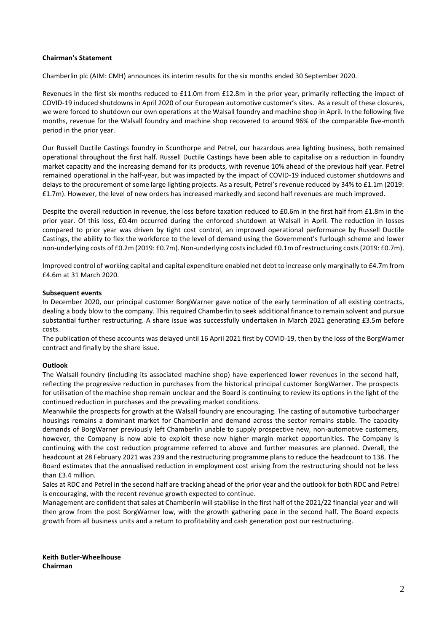## **Chairman's Statement**

Chamberlin plc (AIM: CMH) announces its interim results for the six months ended 30 September 2020.

Revenues in the first six months reduced to £11.0m from £12.8m in the prior year, primarily reflecting the impact of COVID-19 induced shutdowns in April 2020 of our European automotive customer's sites. As a result of these closures, we were forced to shutdown our own operations at the Walsall foundry and machine shop in April. In the following five months, revenue for the Walsall foundry and machine shop recovered to around 96% of the comparable five-month period in the prior year.

Our Russell Ductile Castings foundry in Scunthorpe and Petrel, our hazardous area lighting business, both remained operational throughout the first half. Russell Ductile Castings have been able to capitalise on a reduction in foundry market capacity and the increasing demand for its products, with revenue 10% ahead of the previous half year. Petrel remained operational in the half-year, but was impacted by the impact of COVID-19 induced customer shutdowns and delays to the procurement of some large lighting projects. As a result, Petrel's revenue reduced by 34% to £1.1m (2019: £1.7m). However, the level of new orders has increased markedly and second half revenues are much improved.

Despite the overall reduction in revenue, the loss before taxation reduced to £0.6m in the first half from £1.8m in the prior year. Of this loss, £0.4m occurred during the enforced shutdown at Walsall in April. The reduction in losses compared to prior year was driven by tight cost control, an improved operational performance by Russell Ductile Castings, the ability to flex the workforce to the level of demand using the Government's furlough scheme and lower non-underlying costs of £0.2m (2019: £0.7m). Non-underlying costs included £0.1m of restructuring costs (2019: £0.7m).

Improved control of working capital and capital expenditure enabled net debt to increase only marginally to £4.7m from £4.6m at 31 March 2020.

#### **Subsequent events**

In December 2020, our principal customer BorgWarner gave notice of the early termination of all existing contracts, dealing a body blow to the company. This required Chamberlin to seek additional finance to remain solvent and pursue substantial further restructuring. A share issue was successfully undertaken in March 2021 generating £3.5m before costs.

The publication of these accounts was delayed until 16 April 2021 first by COVID-19, then by the loss of the BorgWarner contract and finally by the share issue.

#### **Outlook**

The Walsall foundry (including its associated machine shop) have experienced lower revenues in the second half, reflecting the progressive reduction in purchases from the historical principal customer BorgWarner. The prospects for utilisation of the machine shop remain unclear and the Board is continuing to review its options in the light of the continued reduction in purchases and the prevailing market conditions.

Meanwhile the prospects for growth at the Walsall foundry are encouraging. The casting of automotive turbocharger housings remains a dominant market for Chamberlin and demand across the sector remains stable. The capacity demands of BorgWarner previously left Chamberlin unable to supply prospective new, non-automotive customers, however, the Company is now able to exploit these new higher margin market opportunities. The Company is continuing with the cost reduction programme referred to above and further measures are planned. Overall, the headcount at 28 February 2021 was 239 and the restructuring programme plans to reduce the headcount to 138. The Board estimates that the annualised reduction in employment cost arising from the restructuring should not be less than £3.4 million.

Sales at RDC and Petrel in the second half are tracking ahead of the prior year and the outlook for both RDC and Petrel is encouraging, with the recent revenue growth expected to continue.

Management are confident that sales at Chamberlin will stabilise in the first half of the 2021/22 financial year and will then grow from the post BorgWarner low, with the growth gathering pace in the second half. The Board expects growth from all business units and a return to profitability and cash generation post our restructuring.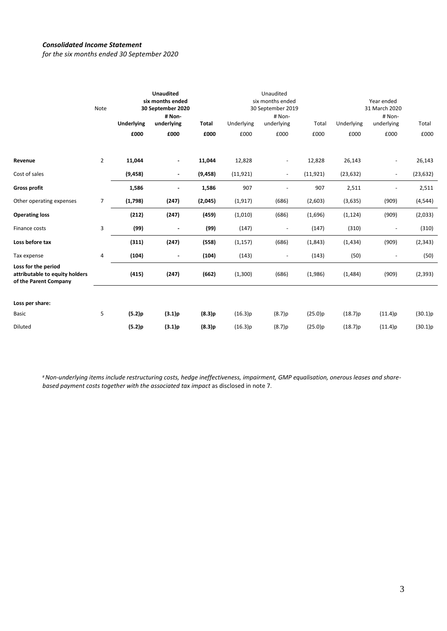# *Consolidated Income Statement*

*for the six months ended 30 September 2020*

|                                                                                | Note           | <b>Unaudited</b><br>six months ended<br>30 September 2020<br># Non- |                          | Unaudited<br>six months ended<br>30 September 2019<br># Non- |            |                          | Year ended<br>31 March 2020<br># Non- |            |                          |           |
|--------------------------------------------------------------------------------|----------------|---------------------------------------------------------------------|--------------------------|--------------------------------------------------------------|------------|--------------------------|---------------------------------------|------------|--------------------------|-----------|
|                                                                                |                | <b>Underlying</b>                                                   | underlying               | <b>Total</b>                                                 | Underlying | underlying               | Total                                 | Underlying | underlying               | Total     |
|                                                                                |                | £000                                                                | £000                     | £000                                                         | £000       | £000                     | £000                                  | £000       | £000                     | £000      |
| Revenue                                                                        | $\overline{2}$ | 11,044                                                              |                          | 11,044                                                       | 12,828     | $\overline{\phantom{m}}$ | 12,828                                | 26,143     |                          | 26,143    |
| Cost of sales                                                                  |                | (9, 458)                                                            |                          | (9, 458)                                                     | (11, 921)  | $\overline{\phantom{a}}$ | (11, 921)                             | (23, 632)  | $\overline{\phantom{a}}$ | (23, 632) |
| <b>Gross profit</b>                                                            |                | 1,586                                                               |                          | 1,586                                                        | 907        |                          | 907                                   | 2,511      |                          | 2,511     |
| Other operating expenses                                                       | 7              | (1,798)                                                             | (247)                    | (2,045)                                                      | (1, 917)   | (686)                    | (2,603)                               | (3,635)    | (909)                    | (4, 544)  |
| <b>Operating loss</b>                                                          |                | (212)                                                               | (247)                    | (459)                                                        | (1,010)    | (686)                    | (1,696)                               | (1, 124)   | (909)                    | (2,033)   |
| Finance costs                                                                  | 3              | (99)                                                                |                          | (99)                                                         | (147)      | $\overline{\phantom{a}}$ | (147)                                 | (310)      |                          | (310)     |
| Loss before tax                                                                |                | (311)                                                               | (247)                    | (558)                                                        | (1, 157)   | (686)                    | (1, 843)                              | (1, 434)   | (909)                    | (2, 343)  |
| Tax expense                                                                    | 4              | (104)                                                               | $\overline{\phantom{a}}$ | (104)                                                        | (143)      | $\overline{\phantom{m}}$ | (143)                                 | (50)       |                          | (50)      |
| Loss for the period<br>attributable to equity holders<br>of the Parent Company |                | (415)                                                               | (247)                    | (662)                                                        | (1,300)    | (686)                    | (1,986)                               | (1,484)    | (909)                    | (2, 393)  |
| Loss per share:                                                                |                |                                                                     |                          |                                                              |            |                          |                                       |            |                          |           |
| <b>Basic</b>                                                                   | 5              | (5.2)p                                                              | (3.1)p                   | (8.3)p                                                       | (16.3)p    | (8.7)p                   | (25.0)p                               | (18.7)p    | (11.4)p                  | (30.1)p   |
| Diluted                                                                        |                | (5.2)p                                                              | (3.1)p                   | (8.3)p                                                       | (16.3)p    | (8.7)p                   | (25.0)p                               | (18.7)p    | (11.4)p                  | (30.1)p   |

#*Non-underlying items include restructuring costs, hedge ineffectiveness, impairment, GMP equalisation, onerous leases and sharebased payment costs together with the associated tax impact* as disclosed in note 7.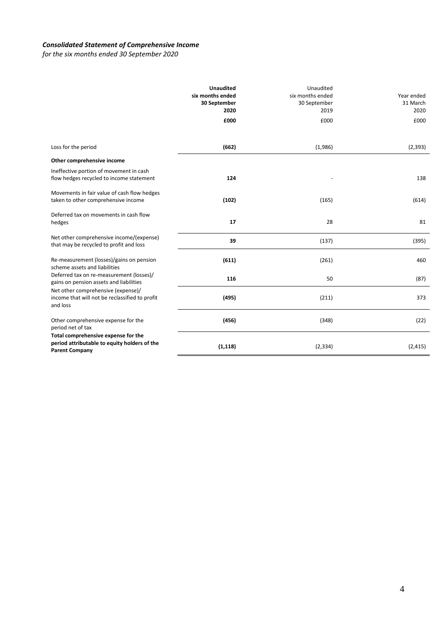# *Consolidated Statement of Comprehensive Income*

*for the six months ended 30 September 2020*

|                                                                                                              | <b>Unaudited</b><br>six months ended<br>30 September<br>2020<br>£000 | Unaudited<br>six months ended<br>30 September<br>2019<br>£000 | Year ended<br>31 March<br>2020<br>£000 |
|--------------------------------------------------------------------------------------------------------------|----------------------------------------------------------------------|---------------------------------------------------------------|----------------------------------------|
| Loss for the period                                                                                          | (662)                                                                | (1,986)                                                       | (2, 393)                               |
| Other comprehensive income                                                                                   |                                                                      |                                                               |                                        |
| Ineffective portion of movement in cash<br>flow hedges recycled to income statement                          | 124                                                                  |                                                               | 138                                    |
| Movements in fair value of cash flow hedges<br>taken to other comprehensive income                           | (102)                                                                | (165)                                                         | (614)                                  |
| Deferred tax on movements in cash flow<br>hedges                                                             | 17                                                                   | 28                                                            | 81                                     |
| Net other comprehensive income/(expense)<br>that may be recycled to profit and loss                          | 39                                                                   | (137)                                                         | (395)                                  |
| Re-measurement (losses)/gains on pension<br>scheme assets and liabilities                                    | (611)                                                                | (261)                                                         | 460                                    |
| Deferred tax on re-measurement (losses)/<br>gains on pension assets and liabilities                          | 116                                                                  | 50                                                            | (87)                                   |
| Net other comprehensive (expense)/<br>income that will not be reclassified to profit<br>and loss             | (495)                                                                | (211)                                                         | 373                                    |
| Other comprehensive expense for the<br>period net of tax                                                     | (456)                                                                | (348)                                                         | (22)                                   |
| Total comprehensive expense for the<br>period attributable to equity holders of the<br><b>Parent Company</b> | (1, 118)                                                             | (2, 334)                                                      | (2, 415)                               |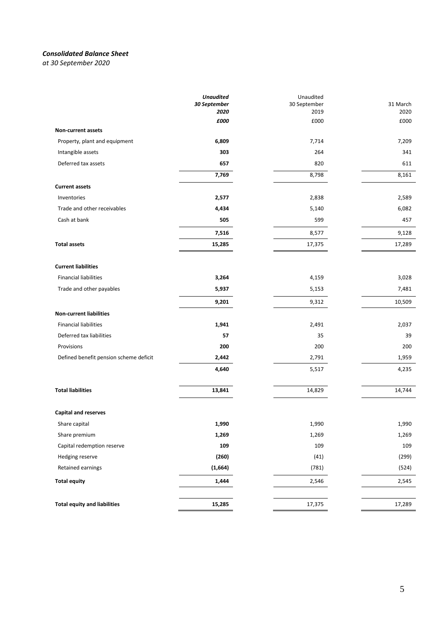# *Consolidated Balance Sheet*

*at 30 September 2020*

|                                        | <b>Unaudited</b><br>30 September<br>2020 | Unaudited<br>30 September<br>2019 | 31 March<br>2020 |
|----------------------------------------|------------------------------------------|-----------------------------------|------------------|
| <b>Non-current assets</b>              | £000                                     | £000                              | £000             |
| Property, plant and equipment          | 6,809                                    | 7,714                             | 7,209            |
| Intangible assets                      | 303                                      | 264                               | 341              |
| Deferred tax assets                    | 657                                      | 820                               | 611              |
|                                        | 7,769                                    | 8,798                             | 8,161            |
| <b>Current assets</b>                  |                                          |                                   |                  |
| Inventories                            | 2,577                                    | 2,838                             | 2,589            |
| Trade and other receivables            | 4,434                                    | 5,140                             | 6,082            |
| Cash at bank                           | 505                                      | 599                               | 457              |
|                                        | 7,516                                    | 8,577                             | 9,128            |
| <b>Total assets</b>                    |                                          |                                   |                  |
|                                        | 15,285                                   | 17,375                            | 17,289           |
| <b>Current liabilities</b>             |                                          |                                   |                  |
| <b>Financial liabilities</b>           | 3,264                                    | 4,159                             | 3,028            |
| Trade and other payables               | 5,937                                    | 5,153                             | 7,481            |
|                                        | 9,201                                    | 9,312                             | 10,509           |
| <b>Non-current liabilities</b>         |                                          |                                   |                  |
| <b>Financial liabilities</b>           | 1,941                                    | 2,491                             | 2,037            |
| Deferred tax liabilities               | 57                                       | 35                                | 39               |
| Provisions                             | 200                                      | 200                               | 200              |
| Defined benefit pension scheme deficit | 2,442                                    | 2,791                             | 1,959            |
|                                        | 4,640                                    | 5,517                             | 4,235            |
| <b>Total liabilities</b>               | 13,841                                   | 14,829                            | 14,744           |
| <b>Capital and reserves</b>            |                                          |                                   |                  |
| Share capital                          | 1,990                                    | 1,990                             | 1,990            |
| Share premium                          | 1,269                                    | 1,269                             | 1,269            |
| Capital redemption reserve             | 109                                      | 109                               | 109              |
| Hedging reserve                        | (260)                                    | (41)                              | (299)            |
| Retained earnings                      | (1,664)                                  | (781)                             | (524)            |
| <b>Total equity</b>                    | 1,444                                    | 2,546                             | 2,545            |
|                                        |                                          |                                   |                  |
| <b>Total equity and liabilities</b>    | 15,285                                   | 17,375                            | 17,289           |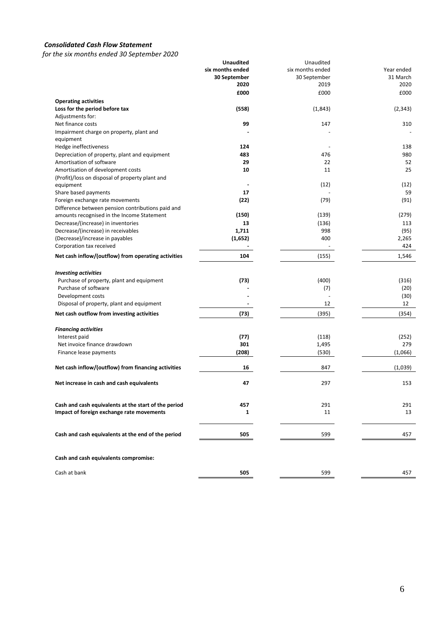# *Consolidated Cash Flow Statement*

*for the six months ended 30 September 2020*

|                                                      | <b>Unaudited</b> | Unaudited        |            |
|------------------------------------------------------|------------------|------------------|------------|
|                                                      | six months ended | six months ended | Year ended |
|                                                      | 30 September     | 30 September     | 31 March   |
|                                                      | 2020             | 2019             | 2020       |
|                                                      | £000             | £000             | £000       |
| <b>Operating activities</b>                          |                  |                  |            |
| Loss for the period before tax                       | (558)            | (1,843)          | (2, 343)   |
| Adjustments for:                                     |                  |                  |            |
| Net finance costs                                    | 99               | 147              | 310        |
| Impairment charge on property, plant and             |                  |                  |            |
| equipment                                            |                  |                  |            |
| Hedge ineffectiveness                                |                  |                  |            |
|                                                      | 124              |                  | 138        |
| Depreciation of property, plant and equipment        | 483              | 476              | 980        |
| Amortisation of software                             | 29               | 22               | 52         |
| Amortisation of development costs                    | 10               | 11               | 25         |
| (Profit)/loss on disposal of property plant and      |                  |                  |            |
| equipment                                            | $\blacksquare$   | (12)             | (12)       |
| Share based payments                                 | 17               |                  | 59         |
| Foreign exchange rate movements                      | (22)             | (79)             | (91)       |
| Difference between pension contributions paid and    |                  |                  |            |
| amounts recognised in the Income Statement           | (150)            | (139)            | (279)      |
| Decrease/(increase) in inventories                   | 13               | (136)            | 113        |
| Decrease/(increase) in receivables                   | 1,711            | 998              | (95)       |
| (Decrease)/increase in payables                      | (1,652)          | 400              | 2,265      |
| Corporation tax received                             |                  |                  | 424        |
| Net cash inflow/(outflow) from operating activities  | 104              | (155)            | 1,546      |
|                                                      |                  |                  |            |
| <b>Investing activities</b>                          |                  |                  |            |
| Purchase of property, plant and equipment            | (73)             | (400)            | (316)      |
| Purchase of software                                 |                  | (7)              | (20)       |
| Development costs                                    |                  |                  | (30)       |
| Disposal of property, plant and equipment            |                  | 12               | 12         |
| Net cash outflow from investing activities           | (73)             | (395)            | (354)      |
|                                                      |                  |                  |            |
| <b>Financing activities</b>                          |                  |                  |            |
| Interest paid                                        | (77)             | (118)            | (252)      |
| Net invoice finance drawdown                         | 301              | 1,495            | 279        |
| Finance lease payments                               | (208)            | (530)            | (1,066)    |
| Net cash inflow/(outflow) from financing activities  | 16               | 847              | (1,039)    |
| Net increase in cash and cash equivalents            | 47               | 297              | 153        |
|                                                      |                  |                  |            |
| Cash and cash equivalents at the start of the period | 457              | 291              | 291        |
| Impact of foreign exchange rate movements            | 1                | 11               | 13         |
|                                                      |                  |                  |            |
| Cash and cash equivalents at the end of the period   | 505              | 599              | 457        |
|                                                      |                  |                  |            |
| Cash and cash equivalents compromise:                |                  |                  |            |
| Cash at bank                                         | 505              | 599              | 457        |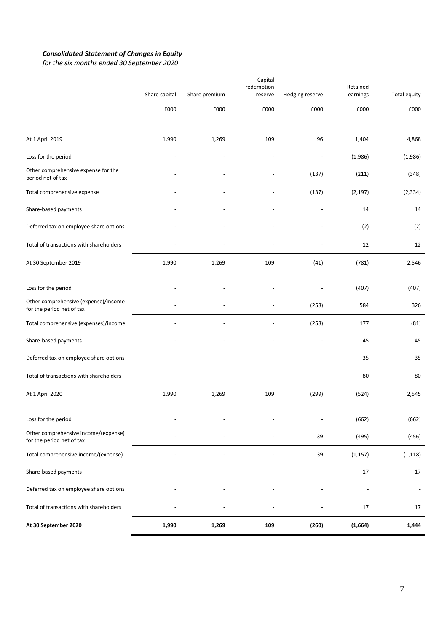#### *Consolidated Statement of Changes in Equity*

*for the six months ended 30 September 2020*

|                                                                   |               |               | Capital<br>redemption |                          | Retained |              |
|-------------------------------------------------------------------|---------------|---------------|-----------------------|--------------------------|----------|--------------|
|                                                                   | Share capital | Share premium | reserve               | Hedging reserve          | earnings | Total equity |
|                                                                   | £000          | £000          | £000                  | £000                     | £000     | £000         |
|                                                                   |               |               |                       |                          |          |              |
| At 1 April 2019                                                   | 1,990         | 1,269         | 109                   | 96                       | 1,404    | 4,868        |
| Loss for the period                                               |               |               |                       | $\overline{\phantom{a}}$ | (1,986)  | (1,986)      |
| Other comprehensive expense for the<br>period net of tax          |               |               |                       | (137)                    | (211)    | (348)        |
| Total comprehensive expense                                       |               |               |                       | (137)                    | (2, 197) | (2, 334)     |
| Share-based payments                                              |               |               |                       |                          | 14       | 14           |
| Deferred tax on employee share options                            |               |               |                       |                          | (2)      | (2)          |
| Total of transactions with shareholders                           |               |               |                       |                          | 12       | 12           |
| At 30 September 2019                                              | 1,990         | 1,269         | 109                   | (41)                     | (781)    | 2,546        |
| Loss for the period                                               |               |               |                       |                          | (407)    | (407)        |
| Other comprehensive (expense)/income                              |               |               |                       | (258)                    | 584      | 326          |
| for the period net of tax                                         |               |               |                       |                          |          |              |
| Total comprehensive (expenses)/income                             |               |               |                       | (258)                    | 177      | (81)         |
| Share-based payments                                              |               |               |                       |                          | 45       | 45           |
| Deferred tax on employee share options                            |               |               |                       |                          | 35       | 35           |
| Total of transactions with shareholders                           |               |               |                       |                          | 80       | 80           |
| At 1 April 2020                                                   | 1,990         | 1,269         | 109                   | (299)                    | (524)    | 2,545        |
| Loss for the period                                               |               |               |                       | $\overline{a}$           | (662)    | (662)        |
| Other comprehensive income/(expense)<br>for the period net of tax |               |               |                       | 39                       | (495)    | (456)        |
| Total comprehensive income/(expense)                              |               |               |                       | 39                       | (1, 157) | (1, 118)     |
| Share-based payments                                              |               |               |                       |                          | $17\,$   | 17           |
| Deferred tax on employee share options                            |               |               |                       |                          |          |              |
| Total of transactions with shareholders                           |               |               |                       |                          | 17       | 17           |
| At 30 September 2020                                              | 1,990         | 1,269         | 109                   | (260)                    | (1,664)  | 1,444        |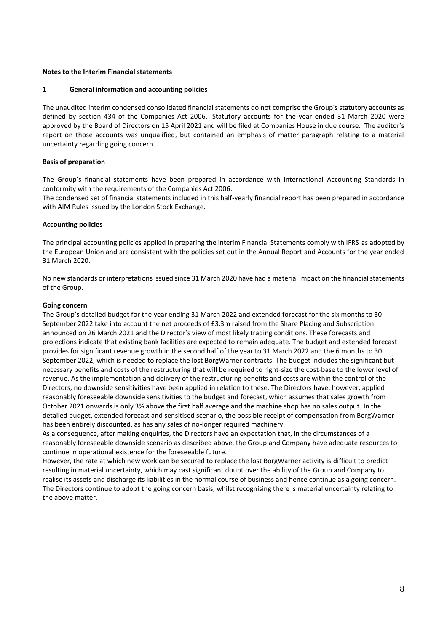#### **Notes to the Interim Financial statements**

#### **1 General information and accounting policies**

The unaudited interim condensed consolidated financial statements do not comprise the Group's statutory accounts as defined by section 434 of the Companies Act 2006. Statutory accounts for the year ended 31 March 2020 were approved by the Board of Directors on 15 April 2021 and will be filed at Companies House in due course. The auditor's report on those accounts was unqualified, but contained an emphasis of matter paragraph relating to a material uncertainty regarding going concern.

## **Basis of preparation**

The Group's financial statements have been prepared in accordance with International Accounting Standards in conformity with the requirements of the Companies Act 2006.

The condensed set of financial statements included in this half-yearly financial report has been prepared in accordance with AIM Rules issued by the London Stock Exchange.

#### **Accounting policies**

The principal accounting policies applied in preparing the interim Financial Statements comply with IFRS as adopted by the European Union and are consistent with the policies set out in the Annual Report and Accounts for the year ended 31 March 2020.

No new standards or interpretations issued since 31 March 2020 have had a material impact on the financial statements of the Group.

#### **Going concern**

The Group's detailed budget for the year ending 31 March 2022 and extended forecast for the six months to 30 September 2022 take into account the net proceeds of £3.3m raised from the Share Placing and Subscription announced on 26 March 2021 and the Director's view of most likely trading conditions. These forecasts and projections indicate that existing bank facilities are expected to remain adequate. The budget and extended forecast provides for significant revenue growth in the second half of the year to 31 March 2022 and the 6 months to 30 September 2022, which is needed to replace the lost BorgWarner contracts. The budget includes the significant but necessary benefits and costs of the restructuring that will be required to right-size the cost-base to the lower level of revenue. As the implementation and delivery of the restructuring benefits and costs are within the control of the Directors, no downside sensitivities have been applied in relation to these. The Directors have, however, applied reasonably foreseeable downside sensitivities to the budget and forecast, which assumes that sales growth from October 2021 onwards is only 3% above the first half average and the machine shop has no sales output. In the detailed budget, extended forecast and sensitised scenario, the possible receipt of compensation from BorgWarner has been entirely discounted, as has any sales of no-longer required machinery.

As a consequence, after making enquiries, the Directors have an expectation that, in the circumstances of a reasonably foreseeable downside scenario as described above, the Group and Company have adequate resources to continue in operational existence for the foreseeable future.

However, the rate at which new work can be secured to replace the lost BorgWarner activity is difficult to predict resulting in material uncertainty, which may cast significant doubt over the ability of the Group and Company to realise its assets and discharge its liabilities in the normal course of business and hence continue as a going concern. The Directors continue to adopt the going concern basis, whilst recognising there is material uncertainty relating to the above matter.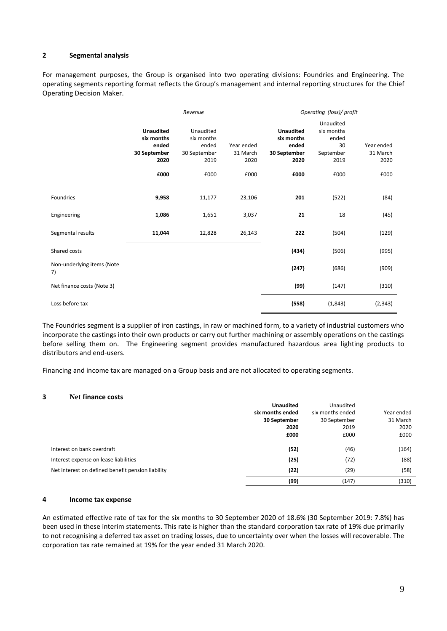# **2 Segmental analysis**

For management purposes, the Group is organised into two operating divisions: Foundries and Engineering. The operating segments reporting format reflects the Group's management and internal reporting structures for the Chief Operating Decision Maker.

|                                  | Revenue                                                         |                                                          |                                | Operating (loss)/ profit                                        |                                                             |                                |  |
|----------------------------------|-----------------------------------------------------------------|----------------------------------------------------------|--------------------------------|-----------------------------------------------------------------|-------------------------------------------------------------|--------------------------------|--|
|                                  | <b>Unaudited</b><br>six months<br>ended<br>30 September<br>2020 | Unaudited<br>six months<br>ended<br>30 September<br>2019 | Year ended<br>31 March<br>2020 | <b>Unaudited</b><br>six months<br>ended<br>30 September<br>2020 | Unaudited<br>six months<br>ended<br>30<br>September<br>2019 | Year ended<br>31 March<br>2020 |  |
|                                  | £000                                                            | £000                                                     | £000                           | £000                                                            | £000                                                        | £000                           |  |
| Foundries                        | 9,958                                                           | 11,177                                                   | 23,106                         | 201                                                             | (522)                                                       | (84)                           |  |
| Engineering                      | 1,086                                                           | 1,651                                                    | 3,037                          | 21                                                              | 18                                                          | (45)                           |  |
| Segmental results                | 11,044                                                          | 12,828                                                   | 26,143                         | 222                                                             | (504)                                                       | (129)                          |  |
| Shared costs                     |                                                                 |                                                          |                                | (434)                                                           | (506)                                                       | (995)                          |  |
| Non-underlying items (Note<br>7) |                                                                 |                                                          |                                | (247)                                                           | (686)                                                       | (909)                          |  |
| Net finance costs (Note 3)       |                                                                 |                                                          |                                | (99)                                                            | (147)                                                       | (310)                          |  |
| Loss before tax                  |                                                                 |                                                          |                                | (558)                                                           | (1,843)                                                     | (2, 343)                       |  |

The Foundries segment is a supplier of iron castings, in raw or machined form, to a variety of industrial customers who incorporate the castings into their own products or carry out further machining or assembly operations on the castings before selling them on. The Engineering segment provides manufactured hazardous area lighting products to distributors and end-users.

Financing and income tax are managed on a Group basis and are not allocated to operating segments.

#### **3 Net finance costs**

|                                                   | <b>Unaudited</b> | Unaudited        |            |
|---------------------------------------------------|------------------|------------------|------------|
|                                                   | six months ended | six months ended | Year ended |
|                                                   | 30 September     | 30 September     | 31 March   |
|                                                   | 2020             | 2019             | 2020       |
|                                                   | £000             | £000             | £000       |
| Interest on bank overdraft                        | (52)             | (46)             | (164)      |
| Interest expense on lease liabilities             | (25)             | (72)             | (88)       |
| Net interest on defined benefit pension liability | (22)             | (29)             | (58)       |
|                                                   | (99)             | (147)            | (310)      |

#### **4 Income tax expense**

An estimated effective rate of tax for the six months to 30 September 2020 of 18.6% (30 September 2019: 7.8%) has been used in these interim statements. This rate is higher than the standard corporation tax rate of 19% due primarily to not recognising a deferred tax asset on trading losses, due to uncertainty over when the losses will recoverable. The corporation tax rate remained at 19% for the year ended 31 March 2020.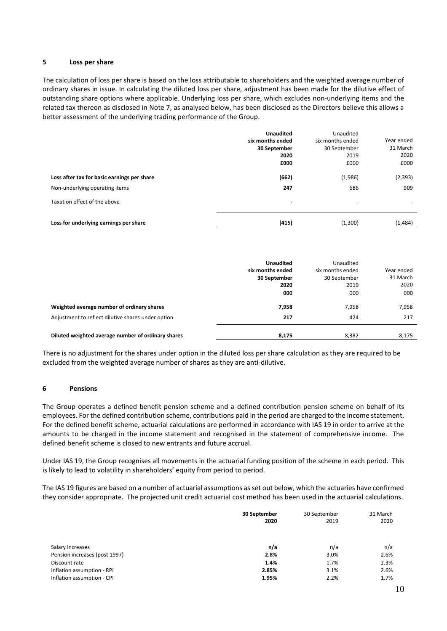# **5 Loss per share**

The calculation of loss per share is based on the loss attributable to shareholders and the weighted average number of ordinary shares in issue. In calculating the diluted loss per share, adjustment has been made for the dilutive effect of outstanding share options where applicable. Underlying loss per share, which excludes non-underlying items and the related tax thereon as disclosed in Note 7, as analysed below, has been disclosed as the Directors believe this allows a better assessment of the underlying trading performance of the Group.

|                                                                               | <b>Unaudited</b><br>six months ended<br>30 September<br>2020<br>£000 | Unaudited<br>six months ended<br>30 September<br>2019<br>£000 | Year ended<br>31 March<br>2020<br>£000 |
|-------------------------------------------------------------------------------|----------------------------------------------------------------------|---------------------------------------------------------------|----------------------------------------|
| Loss after tax for basic earnings per share<br>Non-underlying operating items | (662)<br>247                                                         | (1,986)<br>686                                                | (2, 393)<br>909                        |
| Taxation effect of the above                                                  | $\blacksquare$                                                       | $\overline{\phantom{a}}$                                      | $\overline{\phantom{a}}$               |
| Loss for underlying earnings per share                                        | (415)                                                                | (1,300)                                                       | (1,484)                                |

|                                                                                                  | <b>Unaudited</b><br>six months ended<br>30 September<br>2020<br>000 | Unaudited<br>six months ended<br>30 September<br>2019<br>000 | Year ended<br>31 March<br>2020<br>000 |
|--------------------------------------------------------------------------------------------------|---------------------------------------------------------------------|--------------------------------------------------------------|---------------------------------------|
| Weighted average number of ordinary shares<br>Adjustment to reflect dilutive shares under option | 7,958<br>217                                                        | 7.958<br>424                                                 | 7,958<br>217                          |
| Diluted weighted average number of ordinary shares                                               | 8,175                                                               | 8,382                                                        | 8,175                                 |

There is no adjustment for the shares under option in the diluted loss per share calculation as they are required to be excluded from the weighted average number of shares as they are anti-dilutive.

#### **6 Pensions**

The Group operates a defined benefit pension scheme and a defined contribution pension scheme on behalf of its employees. For the defined contribution scheme, contributions paid in the period are charged to the income statement. For the defined benefit scheme, actuarial calculations are performed in accordance with IAS 19 in order to arrive at the amounts to be charged in the income statement and recognised in the statement of comprehensive income. The defined benefit scheme is closed to new entrants and future accrual.

Under IAS 19, the Group recognises all movements in the actuarial funding position of the scheme in each period. This is likely to lead to volatility in shareholders' equity from period to period.

The IAS 19 figures are based on a number of actuarial assumptions as set out below, which the actuaries have confirmed they consider appropriate. The projected unit credit actuarial cost method has been used in the actuarial calculations.

| 30 September | 30 September | 31 March |
|--------------|--------------|----------|
| 2020         | 2019         | 2020     |
|              |              |          |
|              |              |          |
| n/a          | n/a          | n/a      |
| 2.8%         | 3.0%         | 2.6%     |
| 1.4%         | 1.7%         | 2.3%     |
| 2.85%        | 3.1%         | 2.6%     |
| 1.95%        | 2.2%         | 1.7%     |
|              |              |          |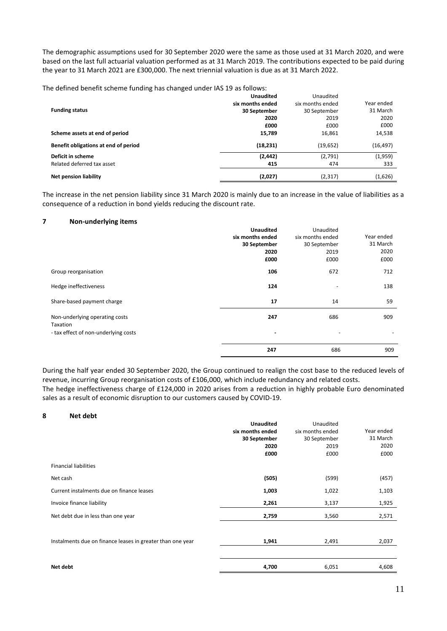The demographic assumptions used for 30 September 2020 were the same as those used at 31 March 2020, and were based on the last full actuarial valuation performed as at 31 March 2019. The contributions expected to be paid during the year to 31 March 2021 are £300,000. The next triennial valuation is due as at 31 March 2022.

The defined benefit scheme funding has changed under IAS 19 as follows:

|                                      | <b>Unaudited</b> | Unaudited        |            |
|--------------------------------------|------------------|------------------|------------|
|                                      | six months ended | six months ended | Year ended |
| <b>Funding status</b>                | 30 September     | 30 September     | 31 March   |
|                                      | 2020             | 2019             | 2020       |
|                                      | £000             | £000             | £000       |
| Scheme assets at end of period       | 15,789           | 16,861           | 14,538     |
| Benefit obligations at end of period | (18, 231)        | (19, 652)        | (16,497)   |
| Deficit in scheme                    | (2, 442)         | (2,791)          | (1,959)    |
| Related deferred tax asset           | 415              | 474              | 333        |
| <b>Net pension liability</b>         | (2,027)          | (2,317)          | (1,626)    |

The increase in the net pension liability since 31 March 2020 is mainly due to an increase in the value of liabilities as a consequence of a reduction in bond yields reducing the discount rate.

# **7 Non-underlying items**

|                                      | <b>Unaudited</b>             | Unaudited                |                          |
|--------------------------------------|------------------------------|--------------------------|--------------------------|
|                                      | six months ended             | six months ended         | Year ended               |
|                                      | 30 September                 | 30 September             | 31 March                 |
|                                      | 2020                         | 2019                     | 2020                     |
|                                      | £000                         | £000                     | £000                     |
| Group reorganisation                 | 106                          | 672                      | 712                      |
| Hedge ineffectiveness                | 124                          |                          | 138                      |
| Share-based payment charge           | 17                           | 14                       | 59                       |
| Non-underlying operating costs       | 247                          | 686                      | 909                      |
| Taxation                             |                              |                          |                          |
| - tax effect of non-underlying costs | $\qquad \qquad \blacksquare$ | $\overline{\phantom{0}}$ | $\overline{\phantom{a}}$ |
|                                      | 247                          | 686                      | 909                      |

During the half year ended 30 September 2020, the Group continued to realign the cost base to the reduced levels of revenue, incurring Group reorganisation costs of £106,000, which include redundancy and related costs. The hedge ineffectiveness charge of £124,000 in 2020 arises from a reduction in highly probable Euro denominated sales as a result of economic disruption to our customers caused by COVID-19.

## **8 Net debt**

|                                                            | <b>Unaudited</b><br>six months ended<br>30 September<br>2020<br>£000 | Unaudited<br>six months ended<br>30 September<br>2019<br>£000 | Year ended<br>31 March<br>2020<br>£000 |
|------------------------------------------------------------|----------------------------------------------------------------------|---------------------------------------------------------------|----------------------------------------|
| <b>Financial liabilities</b>                               |                                                                      |                                                               |                                        |
| Net cash                                                   | (505)                                                                | (599)                                                         | (457)                                  |
| Current instalments due on finance leases                  | 1,003                                                                | 1,022                                                         | 1,103                                  |
| Invoice finance liability                                  | 2,261                                                                | 3,137                                                         | 1,925                                  |
| Net debt due in less than one year                         | 2,759                                                                | 3,560                                                         | 2,571                                  |
|                                                            |                                                                      |                                                               |                                        |
| Instalments due on finance leases in greater than one year | 1,941                                                                | 2,491                                                         | 2,037                                  |
|                                                            |                                                                      |                                                               |                                        |
| Net debt                                                   | 4,700                                                                | 6,051                                                         | 4,608                                  |